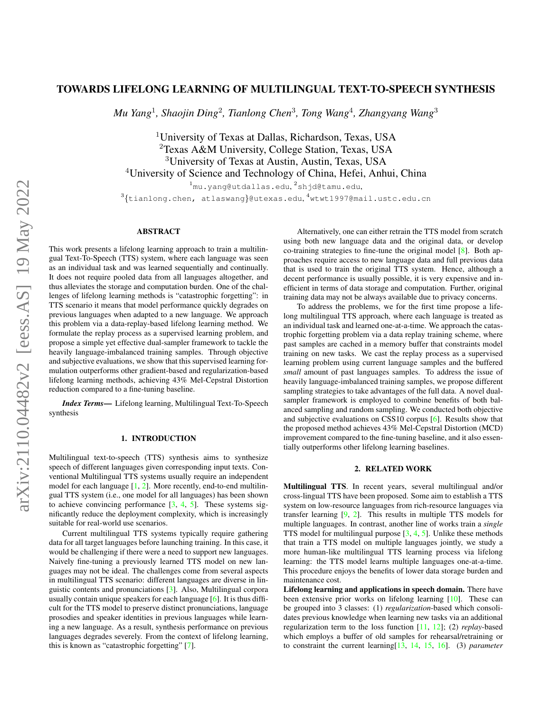# TOWARDS LIFELONG LEARNING OF MULTILINGUAL TEXT-TO-SPEECH SYNTHESIS

*Mu Yang*<sup>1</sup> *, Shaojin Ding*<sup>2</sup> *, Tianlong Chen*<sup>3</sup> *, Tong Wang*<sup>4</sup> *, Zhangyang Wang*<sup>3</sup>

<sup>1</sup>University of Texas at Dallas, Richardson, Texas, USA Texas A&M University, College Station, Texas, USA University of Texas at Austin, Austin, Texas, USA University of Science and Technology of China, Hefei, Anhui, China

 $^{1}$ mu.yang@utdallas.edu, $^{2}$ shjd@tamu.edu,

 $^3\{$ tianlong.chen, atlaswang $\}$ @utexas.edu, $^4$ wtwt1997@mail.ustc.edu.cn

### ABSTRACT

This work presents a lifelong learning approach to train a multilingual Text-To-Speech (TTS) system, where each language was seen as an individual task and was learned sequentially and continually. It does not require pooled data from all languages altogether, and thus alleviates the storage and computation burden. One of the challenges of lifelong learning methods is "catastrophic forgetting": in TTS scenario it means that model performance quickly degrades on previous languages when adapted to a new language. We approach this problem via a data-replay-based lifelong learning method. We formulate the replay process as a supervised learning problem, and propose a simple yet effective dual-sampler framework to tackle the heavily language-imbalanced training samples. Through objective and subjective evaluations, we show that this supervised learning formulation outperforms other gradient-based and regularization-based lifelong learning methods, achieving 43% Mel-Cepstral Distortion reduction compared to a fine-tuning baseline.

*Index Terms*— Lifelong learning, Multilingual Text-To-Speech synthesis

### 1. INTRODUCTION

Multilingual text-to-speech (TTS) synthesis aims to synthesize speech of different languages given corresponding input texts. Conventional Multilingual TTS systems usually require an independent model for each language  $[1, 2]$  $[1, 2]$  $[1, 2]$ . More recently, end-to-end multilingual TTS system (i.e., one model for all languages) has been shown to achieve convincing performance  $[3, 4, 5]$  $[3, 4, 5]$  $[3, 4, 5]$  $[3, 4, 5]$  $[3, 4, 5]$ . These systems significantly reduce the deployment complexity, which is increasingly suitable for real-world use scenarios.

Current multilingual TTS systems typically require gathering data for all target languages before launching training. In this case, it would be challenging if there were a need to support new languages. Naively fine-tuning a previously learned TTS model on new languages may not be ideal. The challenges come from several aspects in multilingual TTS scenario: different languages are diverse in linguistic contents and pronunciations [\[3\]](#page-4-2). Also, Multilingual corpora usually contain unique speakers for each language [\[6\]](#page-4-5). It is thus difficult for the TTS model to preserve distinct pronunciations, language prosodies and speaker identities in previous languages while learning a new language. As a result, synthesis performance on previous languages degrades severely. From the context of lifelong learning, this is known as "catastrophic forgetting" [\[7\]](#page-4-6).

Alternatively, one can either retrain the TTS model from scratch using both new language data and the original data, or develop co-training strategies to fine-tune the original model [\[8\]](#page-4-7). Both approaches require access to new language data and full previous data that is used to train the original TTS system. Hence, although a decent performance is usually possible, it is very expensive and inefficient in terms of data storage and computation. Further, original training data may not be always available due to privacy concerns.

To address the problems, we for the first time propose a lifelong multilingual TTS approach, where each language is treated as an individual task and learned one-at-a-time. We approach the catastrophic forgetting problem via a data replay training scheme, where past samples are cached in a memory buffer that constraints model training on new tasks. We cast the replay process as a supervised learning problem using current language samples and the buffered *small* amount of past languages samples. To address the issue of heavily language-imbalanced training samples, we propose different sampling strategies to take advantages of the full data. A novel dualsampler framework is employed to combine benefits of both balanced sampling and random sampling. We conducted both objective and subjective evaluations on CSS10 corpus [\[6\]](#page-4-5). Results show that the proposed method achieves 43% Mel-Cepstral Distortion (MCD) improvement compared to the fine-tuning baseline, and it also essentially outperforms other lifelong learning baselines.

### 2. RELATED WORK

Multilingual TTS. In recent years, several multilingual and/or cross-lingual TTS have been proposed. Some aim to establish a TTS system on low-resource languages from rich-resource languages via transfer learning [\[9,](#page-4-8) [2\]](#page-4-1). This results in multiple TTS models for multiple languages. In contrast, another line of works train a *single* TTS model for multilingual purpose  $[3, 4, 5]$  $[3, 4, 5]$  $[3, 4, 5]$  $[3, 4, 5]$  $[3, 4, 5]$ . Unlike these methods that train a TTS model on multiple languages jointly, we study a more human-like multilingual TTS learning process via lifelong learning: the TTS model learns multiple languages one-at-a-time. This procedure enjoys the benefits of lower data storage burden and maintenance cost.

Lifelong learning and applications in speech domain. There have been extensive prior works on lifelong learning [\[10\]](#page-4-9). These can be grouped into 3 classes: (1) *regularization*-based which consolidates previous knowledge when learning new tasks via an additional regularization term to the loss function [\[11,](#page-4-10) [12\]](#page-4-11); (2) *replay*-based which employs a buffer of old samples for rehearsal/retraining or to constraint the current learning[\[13,](#page-4-12) [14,](#page-4-13) [15,](#page-4-14) [16\]](#page-4-15). (3) *parameter*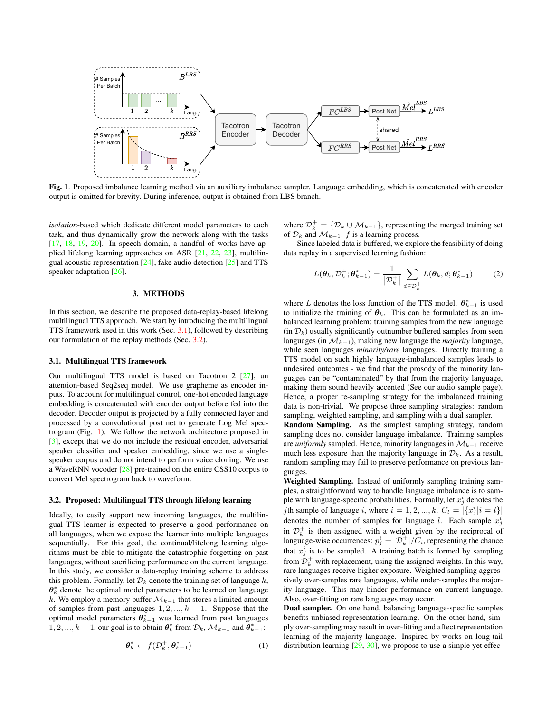

<span id="page-1-2"></span>Fig. 1. Proposed imbalance learning method via an auxiliary imbalance sampler. Language embedding, which is concatenated with encoder output is omitted for brevity. During inference, output is obtained from LBS branch.

*isolation*-based which dedicate different model parameters to each task, and thus dynamically grow the network along with the tasks  $[17, 18, 19, 20]$  $[17, 18, 19, 20]$  $[17, 18, 19, 20]$  $[17, 18, 19, 20]$  $[17, 18, 19, 20]$  $[17, 18, 19, 20]$  $[17, 18, 19, 20]$ . In speech domain, a handful of works have applied lifelong learning approaches on ASR [\[21,](#page-4-20) [22,](#page-4-21) [23\]](#page-4-22), multilingual acoustic representation  $[24]$ , fake audio detection  $[25]$  and TTS speaker adaptation [\[26\]](#page-4-25).

#### 3. METHODS

In this section, we describe the proposed data-replay-based lifelong multilingual TTS approach. We start by introducing the multilingual TTS framework used in this work (Sec. [3.1\)](#page-1-0), followed by describing our formulation of the replay methods (Sec. [3.2\)](#page-1-1).

## <span id="page-1-0"></span>3.1. Multilingual TTS framework

Our multilingual TTS model is based on Tacotron 2 [\[27\]](#page-4-26), an attention-based Seq2seq model. We use grapheme as encoder inputs. To account for multilingual control, one-hot encoded language embedding is concatenated with encoder output before fed into the decoder. Decoder output is projected by a fully connected layer and processed by a convolutional post net to generate Log Mel spectrogram (Fig. [1\)](#page-1-2). We follow the network architecture proposed in [\[3\]](#page-4-2), except that we do not include the residual encoder, adversarial speaker classifier and speaker embedding, since we use a singlespeaker corpus and do not intend to perform voice cloning. We use a WaveRNN vocoder [\[28\]](#page-4-27) pre-trained on the entire CSS10 corpus to convert Mel spectrogram back to waveform.

#### <span id="page-1-1"></span>3.2. Proposed: Multilingual TTS through lifelong learning

Ideally, to easily support new incoming languages, the multilingual TTS learner is expected to preserve a good performance on all languages, when we expose the learner into multiple languages sequentially. For this goal, the continual/lifelong learning algorithms must be able to mitigate the catastrophic forgetting on past languages, without sacrificing performance on the current language. In this study, we consider a data-replay training scheme to address this problem. Formally, let  $\mathcal{D}_k$  denote the training set of language k,  $\theta_k^*$  denote the optimal model parameters to be learned on language k. We employ a memory buffer  $\mathcal{M}_{k-1}$  that stores a limited amount of samples from past languages  $1, 2, ..., k - 1$ . Suppose that the optimal model parameters  $\theta_{k-1}^*$  was learned from past languages  $1, 2, ..., k-1$ , our goal is to obtain  $\theta_k^*$  from  $\mathcal{D}_k$ ,  $\mathcal{M}_{k-1}$  and  $\theta_{k-1}^*$ :

$$
\boldsymbol{\theta}_k^* \leftarrow f(\mathcal{D}_k^+, \boldsymbol{\theta}_{k-1}^*)
$$
 (1)

where  $\mathcal{D}_k^+ = \{ \mathcal{D}_k \cup \mathcal{M}_{k-1} \}$ , representing the merged training set of  $\mathcal{D}_k$  and  $\mathcal{M}_{k-1}$ . f is a learning process.

Since labeled data is buffered, we explore the feasibility of doing data replay in a supervised learning fashion:

$$
L(\boldsymbol{\theta}_k, \mathcal{D}_k^+; \boldsymbol{\theta}_{k-1}^*) = \frac{1}{|\mathcal{D}_k^+|} \sum_{d \in \mathcal{D}_k^+} L(\boldsymbol{\theta}_k, d; \boldsymbol{\theta}_{k-1}^*)
$$
(2)

where L denotes the loss function of the TTS model.  $\theta_{k-1}^*$  is used to initialize the training of  $\theta_k$ . This can be formulated as an imbalanced learning problem: training samples from the new language  $(in \mathcal{D}_k)$  usually significantly outnumber buffered samples from seen languages (in  $\mathcal{M}_{k-1}$ ), making new language the *majority* language, while seen languages *minority/rare* languages. Directly training a TTS model on such highly language-imbalanced samples leads to undesired outcomes - we find that the prosody of the minority languages can be "contaminated" by that from the majority language, making them sound heavily accented (See our audio sample page). Hence, a proper re-sampling strategy for the imbalanced training data is non-trivial. We propose three sampling strategies: random sampling, weighted sampling, and sampling with a dual sampler.

Random Sampling. As the simplest sampling strategy, random sampling does not consider language imbalance. Training samples are *uniformly* sampled. Hence, minority languages in  $\mathcal{M}_{k-1}$  receive much less exposure than the majority language in  $\mathcal{D}_k$ . As a result, random sampling may fail to preserve performance on previous languages.

Weighted Sampling. Instead of uniformly sampling training samples, a straightforward way to handle language imbalance is to sample with language-specific probabilities. Formally, let  $x_j^i$  denotes the *j*th sample of language *i*, where  $i = 1, 2, ..., k$ .  $C_l = |\{x_j^i | i = l\}|$ denotes the number of samples for language l. Each sample  $x_j^i$ in  $\mathcal{D}_k^+$  is then assigned with a weight given by the reciprocal of language-wise occurrences:  $p_j^i = |\mathcal{D}_k^+|/C_i$ , representing the chance that  $x_j^i$  is to be sampled. A training batch is formed by sampling from  $\mathcal{D}_k^+$  with replacement, using the assigned weights. In this way, rare languages receive higher exposure. Weighted sampling aggressively over-samples rare languages, while under-samples the majority language. This may hinder performance on current language. Also, over-fitting on rare languages may occur.

Dual sampler. On one hand, balancing language-specific samples benefits unbiased representation learning. On the other hand, simply over-sampling may result in over-fitting and affect representation learning of the majority language. Inspired by works on long-tail distribution learning  $[29, 30]$  $[29, 30]$  $[29, 30]$ , we propose to use a simple yet effec-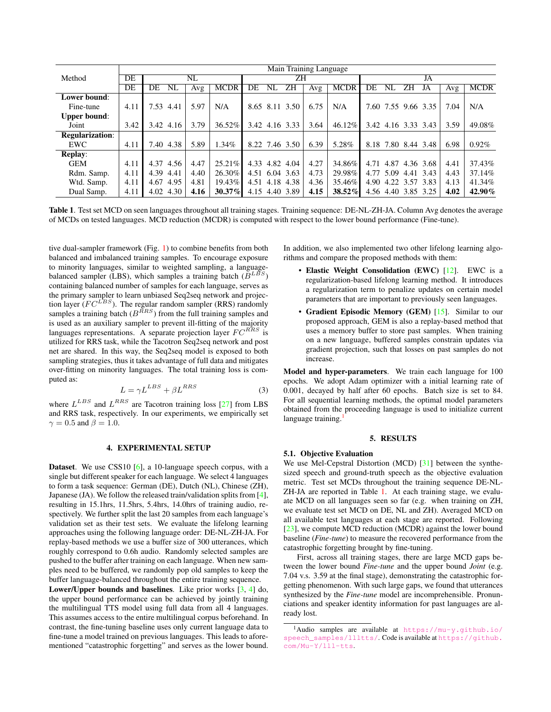|                        | Main Training Language |              |      |           |                      |      |             |                           |                    |  |  |
|------------------------|------------------------|--------------|------|-----------|----------------------|------|-------------|---------------------------|--------------------|--|--|
| Method                 | DE                     | NL           |      |           | ΖH                   |      |             | JA                        |                    |  |  |
|                        | DE                     | DE<br>NL     | Avg  | MCDR      | ΖH<br>DE<br>NL       | Avg  | <b>MCDR</b> | DE<br>ΖH<br>NL<br>JA      | <b>MCDR</b><br>Avg |  |  |
| Lower bound:           |                        |              |      |           |                      |      |             |                           |                    |  |  |
| Fine-tune              | 4.11                   | 7.53 4.41    | 5.97 | N/A       | 8.65 8.11 3.50       | 6.75 | N/A         | 7.60 7.55 9.66 3.35       | N/A<br>7.04        |  |  |
| <b>Upper bound:</b>    |                        |              |      |           |                      |      |             |                           |                    |  |  |
| Joint                  | 3.42                   | 3.42 4.16    | 3.79 | $36.52\%$ | 3.42 4.16 3.33       | 3.64 | $46.12\%$   | 3.42 4.16 3.33 3.43       | 3.59<br>49.08%     |  |  |
| <b>Regularization:</b> |                        |              |      |           |                      |      |             |                           |                    |  |  |
| EWC                    | 4.11                   | 7.40 4.38    | 5.89 | $1.34\%$  | 8.22 7.46 3.50       | 6.39 | 5.28%       | 8.18 7.80 8.44 3.48       | 0.92%<br>6.98      |  |  |
| <b>Replay:</b>         |                        |              |      |           |                      |      |             |                           |                    |  |  |
| <b>GEM</b>             | 4.11                   | 4.37 4.56    | 4.47 | $25.21\%$ | 4.33 4.82<br>4.04    | 4.27 | 34.86%      | 4.71<br>4.87<br>4.36 3.68 | 37.43%<br>4.41     |  |  |
| Rdm. Samp.             | 4.11                   | 4.39<br>4.41 | 4.40 | 26.30%    | 4.51 6.04 3.63       | 4.73 | 29.98%      | 5.09<br>4.77<br>4.41 3.43 | 37.14%<br>4.43     |  |  |
| Wtd. Samp.             | 4.11                   | 4.67<br>4.95 | 4.81 | 19.43%    | 4.51<br>4.18<br>4.38 | 4.36 | 35.46%      | 4.22 3.57 3.83<br>4.90    | 41.34%<br>4.13     |  |  |
| Dual Samp.             | 4.11                   | 4.02 4.30    | 4.16 | $30.37\%$ | 4.15 4.40 3.89       | 4.15 | $38.52\%$   | 4.56 4.40 3.85 3.25       | 42.90%<br>4.02     |  |  |

<span id="page-2-1"></span>Table 1. Test set MCD on seen languages throughout all training stages. Training sequence: DE-NL-ZH-JA. Column Avg denotes the average of MCDs on tested languages. MCD reduction (MCDR) is computed with respect to the lower bound performance (Fine-tune).

tive dual-sampler framework (Fig. [1\)](#page-1-2) to combine benefits from both balanced and imbalanced training samples. To encourage exposure to minority languages, similar to weighted sampling, a languagebalanced sampler (LBS), which samples a training batch  $(B^{LBS})$ containing balanced number of samples for each language, serves as the primary sampler to learn unbiased Seq2seq network and projection layer ( $FC^{LBS}$ ). The regular random sampler (RRS) randomly samples a training batch  $(B^{RRS})$  from the full training samples and is used as an auxiliary sampler to prevent ill-fitting of the majority languages representations. A separate projection layer  $FC^{RRS}$  is utilized for RRS task, while the Tacotron Seq2seq network and post net are shared. In this way, the Seq2seq model is exposed to both sampling strategies, thus it takes advantage of full data and mitigates over-fitting on minority languages. The total training loss is computed as:

$$
L = \gamma L^{LBS} + \beta L^{RRS} \tag{3}
$$

where  $L^{LBS}$  and  $L^{RRS}$  are Tacotron training loss [\[27\]](#page-4-26) from LBS and RRS task, respectively. In our experiments, we empirically set  $\gamma = 0.5$  and  $\beta = 1.0$ .

### 4. EXPERIMENTAL SETUP

Dataset. We use CSS10 [\[6\]](#page-4-5), a 10-language speech corpus, with a single but different speaker for each language. We select 4 languages to form a task sequence: German (DE), Dutch (NL), Chinese (ZH), Japanese (JA). We follow the released train/validation splits from [\[4\]](#page-4-3), resulting in 15.1hrs, 11.5hrs, 5.4hrs, 14.0hrs of training audio, respectively. We further split the last 20 samples from each language's validation set as their test sets. We evaluate the lifelong learning approaches using the following language order: DE-NL-ZH-JA. For replay-based methods we use a buffer size of 300 utterances, which roughly correspond to 0.6h audio. Randomly selected samples are pushed to the buffer after training on each language. When new samples need to be buffered, we randomly pop old samples to keep the buffer language-balanced throughout the entire training sequence.

Lower/Upper bounds and baselines. Like prior works  $[3, 4]$  $[3, 4]$  $[3, 4]$  do, the upper bound performance can be achieved by jointly training the multilingual TTS model using full data from all 4 languages. This assumes access to the entire multilingual corpus beforehand. In contrast, the fine-tuning baseline uses only current language data to fine-tune a model trained on previous languages. This leads to aforementioned "catastrophic forgetting" and serves as the lower bound.

In addition, we also implemented two other lifelong learning algorithms and compare the proposed methods with them:

- Elastic Weight Consolidation (EWC) [\[12\]](#page-4-11). EWC is a regularization-based lifelong learning method. It introduces a regularization term to penalize updates on certain model parameters that are important to previously seen languages.
- Gradient Episodic Memory (GEM) [\[15\]](#page-4-14). Similar to our proposed approach, GEM is also a replay-based method that uses a memory buffer to store past samples. When training on a new language, buffered samples constrain updates via gradient projection, such that losses on past samples do not increase.

Model and hyper-parameters. We train each language for 100 epochs. We adopt Adam optimizer with a initial learning rate of 0.001, decayed by half after 60 epochs. Batch size is set to 84. For all sequential learning methods, the optimal model parameters obtained from the proceeding language is used to initialize current language training.

#### 5. RESULTS

### 5.1. Objective Evaluation

We use Mel-Cepstral Distortion (MCD) [\[31\]](#page-4-30) between the synthesized speech and ground-truth speech as the objective evaluation metric. Test set MCDs throughout the training sequence DE-NL-ZH-JA are reported in Table [1.](#page-2-1) At each training stage, we evaluate MCD on all languages seen so far (e.g. when training on ZH, we evaluate test set MCD on DE, NL and ZH). Averaged MCD on all available test languages at each stage are reported. Following [\[23\]](#page-4-22), we compute MCD reduction (MCDR) against the lower bound baseline (*Fine-tune*) to measure the recovered performance from the catastrophic forgetting brought by fine-tuning.

First, across all training stages, there are large MCD gaps between the lower bound *Fine-tune* and the upper bound *Joint* (e.g. 7.04 v.s. 3.59 at the final stage), demonstrating the catastrophic forgetting phenomenon. With such large gaps, we found that utterances synthesized by the *Fine-tune* model are incomprehensible. Pronunciations and speaker identity information for past languages are already lost.

<span id="page-2-0"></span><sup>1</sup>Audio samples are available at [https://mu-y.github.io/](https://mu-y.github.io/speech_samples/llltts/) [speech\\_samples/llltts/](https://mu-y.github.io/speech_samples/llltts/). Code is available at [https://github.](https://github.com/Mu-Y/lll-tts) [com/Mu-Y/lll-tts](https://github.com/Mu-Y/lll-tts).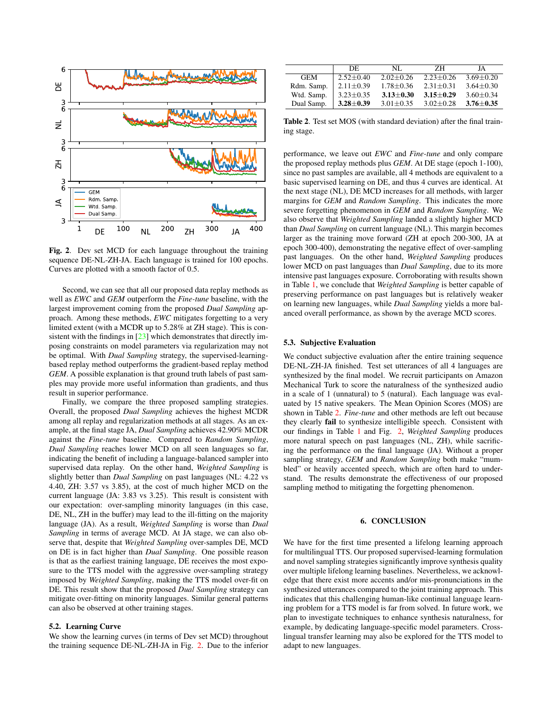

<span id="page-3-0"></span>Fig. 2. Dev set MCD for each language throughout the training sequence DE-NL-ZH-JA. Each language is trained for 100 epochs. Curves are plotted with a smooth factor of 0.5.

Second, we can see that all our proposed data replay methods as well as *EWC* and *GEM* outperform the *Fine-tune* baseline, with the largest improvement coming from the proposed *Dual Sampling* approach. Among these methods, *EWC* mitigates forgetting to a very limited extent (with a MCDR up to 5.28% at ZH stage). This is consistent with the findings in  $[23]$  which demonstrates that directly imposing constraints on model parameters via regularization may not be optimal. With *Dual Sampling* strategy, the supervised-learningbased replay method outperforms the gradient-based replay method *GEM*. A possible explanation is that ground truth labels of past samples may provide more useful information than gradients, and thus result in superior performance.

Finally, we compare the three proposed sampling strategies. Overall, the proposed *Dual Sampling* achieves the highest MCDR among all replay and regularization methods at all stages. As an example, at the final stage JA, *Dual Sampling* achieves 42.90% MCDR against the *Fine-tune* baseline. Compared to *Random Sampling*, *Dual Sampling* reaches lower MCD on all seen languages so far, indicating the benefit of including a language-balanced sampler into supervised data replay. On the other hand, *Weighted Sampling* is slightly better than *Dual Sampling* on past languages (NL: 4.22 vs 4.40, ZH: 3.57 vs 3.85), at the cost of much higher MCD on the current language (JA: 3.83 vs 3.25). This result is consistent with our expectation: over-sampling minority languages (in this case, DE, NL, ZH in the buffer) may lead to the ill-fitting on the majority language (JA). As a result, *Weighted Sampling* is worse than *Dual Sampling* in terms of average MCD. At JA stage, we can also observe that, despite that *Weighted Sampling* over-samples DE, MCD on DE is in fact higher than *Dual Sampling*. One possible reason is that as the earliest training language, DE receives the most exposure to the TTS model with the aggressive over-sampling strategy imposed by *Weighted Sampling*, making the TTS model over-fit on DE. This result show that the proposed *Dual Sampling* strategy can mitigate over-fitting on minority languages. Similar general patterns can also be observed at other training stages.

### 5.2. Learning Curve

We show the learning curves (in terms of Dev set MCD) throughout the training sequence DE-NL-ZH-JA in Fig. [2.](#page-3-0) Due to the inferior

|            | DE.             | NL.           | 7H            | JA            |
|------------|-----------------|---------------|---------------|---------------|
| <b>GEM</b> | $2.52 + 0.40$   | $2.02 + 0.26$ | $2.23 + 0.26$ | $3.69 + 0.20$ |
| Rdm. Samp. | $2.11 \pm 0.39$ | $1.78 + 0.36$ | $2.31 + 0.31$ | $3.64 + 0.30$ |
| Wtd. Samp. | $3.23 + 0.35$   | $3.13 + 0.30$ | $3.15 + 0.29$ | $3.60 + 0.34$ |
| Dual Samp. | $3.28 + 0.39$   | $3.01 + 0.35$ | $3.02 + 0.28$ | $3.76 + 0.35$ |

<span id="page-3-1"></span>Table 2. Test set MOS (with standard deviation) after the final training stage.

performance, we leave out *EWC* and *Fine-tune* and only compare the proposed replay methods plus *GEM*. At DE stage (epoch 1-100), since no past samples are available, all 4 methods are equivalent to a basic supervised learning on DE, and thus 4 curves are identical. At the next stage (NL), DE MCD increases for all methods, with larger margins for *GEM* and *Random Sampling*. This indicates the more severe forgetting phenomenon in *GEM* and *Random Sampling*. We also observe that *Weighted Sampling* landed a slightly higher MCD than *Dual Sampling* on current language (NL). This margin becomes larger as the training move forward (ZH at epoch 200-300, JA at epoch 300-400), demonstrating the negative effect of over-sampling past languages. On the other hand, *Weighted Sampling* produces lower MCD on past languages than *Dual Sampling*, due to its more intensive past languages exposure. Corroborating with results shown in Table [1,](#page-2-1) we conclude that *Weighted Sampling* is better capable of preserving performance on past languages but is relatively weaker on learning new languages, while *Dual Sampling* yields a more balanced overall performance, as shown by the average MCD scores.

### 5.3. Subjective Evaluation

We conduct subjective evaluation after the entire training sequence DE-NL-ZH-JA finished. Test set utterances of all 4 languages are synthesized by the final model. We recruit participants on Amazon Mechanical Turk to score the naturalness of the synthesized audio in a scale of 1 (unnatural) to 5 (natural). Each language was evaluated by 15 native speakers. The Mean Opinion Scores (MOS) are shown in Table [2.](#page-3-1) *Fine-tune* and other methods are left out because they clearly fail to synthesize intelligible speech. Consistent with our findings in Table [1](#page-2-1) and Fig. [2,](#page-3-0) *Weighted Sampling* produces more natural speech on past languages (NL, ZH), while sacrificing the performance on the final language (JA). Without a proper sampling strategy, *GEM* and *Random Sampling* both make "mumbled" or heavily accented speech, which are often hard to understand. The results demonstrate the effectiveness of our proposed sampling method to mitigating the forgetting phenomenon.

#### 6. CONCLUSION

We have for the first time presented a lifelong learning approach for multilingual TTS. Our proposed supervised-learning formulation and novel sampling strategies significantly improve synthesis quality over multiple lifelong learning baselines. Nevertheless, we acknowledge that there exist more accents and/or mis-pronunciations in the synthesized utterances compared to the joint training approach. This indicates that this challenging human-like continual language learning problem for a TTS model is far from solved. In future work, we plan to investigate techniques to enhance synthesis naturalness, for example, by dedicating language-specific model parameters. Crosslingual transfer learning may also be explored for the TTS model to adapt to new languages.